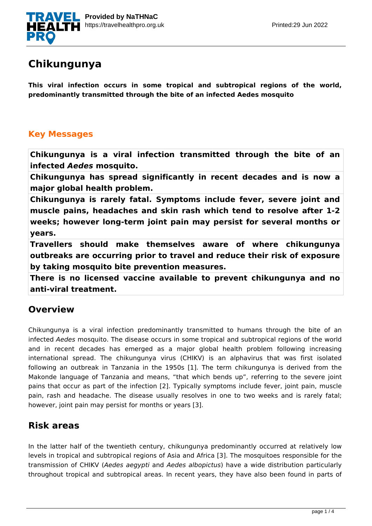

# **Chikungunya**

**This viral infection occurs in some tropical and subtropical regions of the world, predominantly transmitted through the bite of an infected Aedes mosquito**

#### **Key Messages**

**Chikungunya is a viral infection transmitted through the bite of an infected** *Aedes* **mosquito.**

**Chikungunya has spread significantly in recent decades and is now a major global health problem.**

**Chikungunya is rarely fatal. Symptoms include fever, severe joint and muscle pains, headaches and skin rash which tend to resolve after 1-2 weeks; however long-term joint pain may persist for several months or years.**

**Travellers should make themselves aware of where chikungunya outbreaks are occurring prior to travel and reduce their risk of exposure by taking mosquito bite prevention measures.**

**There is no licensed vaccine available to prevent chikungunya and no anti-viral treatment.**

### **Overview**

Chikungunya is a viral infection predominantly transmitted to humans through the bite of an infected *Aedes* mosquito. The disease occurs in some tropical and subtropical regions of the world and in recent decades has emerged as a major global health problem following increasing international spread. The chikungunya virus (CHIKV) is an alphavirus that was first isolated following an outbreak in Tanzania in the 1950s [1]. The term chikungunya is derived from the Makonde language of Tanzania and means, "that which bends up", referring to the severe joint pains that occur as part of the infection [2]. Typically symptoms include fever, joint pain, muscle pain, rash and headache. The disease usually resolves in one to two weeks and is rarely fatal; however, joint pain may persist for months or years [3].

# **Risk areas**

In the latter half of the twentieth century, chikungunya predominantly occurred at relatively low levels in tropical and subtropical regions of Asia and Africa [3]. The mosquitoes responsible for the transmission of CHIKV (*Aedes aegypti* and *Aedes albopictus*) have a wide distribution particularly throughout tropical and subtropical areas. In recent years, they have also been found in parts of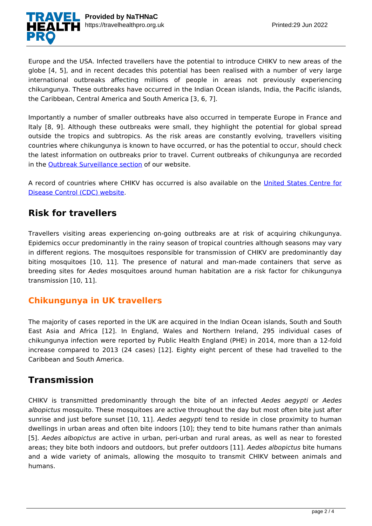

Europe and the USA. Infected travellers have the potential to introduce CHIKV to new areas of the globe [4, 5], and in recent decades this potential has been realised with a number of very large international outbreaks affecting millions of people in areas not previously experiencing chikungunya. These outbreaks have occurred in the Indian Ocean islands, India, the Pacific islands, the Caribbean, Central America and South America [3, 6, 7].

Importantly a number of smaller outbreaks have also occurred in temperate Europe in France and Italy [8, 9]. Although these outbreaks were small, they highlight the potential for global spread outside the tropics and subtropics. As the risk areas are constantly evolving, travellers visiting countries where chikungunya is known to have occurred, or has the potential to occur, should check the latest information on outbreaks prior to travel. Current outbreaks of chikungunya are recorded in the **Outbreak Surveillance section** of our website.

A record of countries where CHIKV has occurred is also available on the [United States Centre for](http://www.cdc.gov/chikungunya/geo/index.html) [Disease Control \(CDC\) website.](http://www.cdc.gov/chikungunya/geo/index.html)

### **Risk for travellers**

Travellers visiting areas experiencing on-going outbreaks are at risk of acquiring chikungunya. Epidemics occur predominantly in the rainy season of tropical countries although seasons may vary in different regions. The mosquitoes responsible for transmission of CHIKV are predominantly day biting mosquitoes [10, 11]. The presence of natural and man-made containers that serve as breeding sites for *Aedes* mosquitoes around human habitation are a risk factor for chikungunya transmission [10, 11].

#### **Chikungunya in UK travellers**

The majority of cases reported in the UK are acquired in the Indian Ocean islands, South and South East Asia and Africa [12]. In England, Wales and Northern Ireland, 295 individual cases of chikungunya infection were reported by Public Health England (PHE) in 2014, more than a 12-fold increase compared to 2013 (24 cases) [12]. Eighty eight percent of these had travelled to the Caribbean and South America.

#### **Transmission**

CHIKV is transmitted predominantly through the bite of an infected *Aedes aegypti* or *Aedes albopictus* mosquito. These mosquitoes are active throughout the day but most often bite just after sunrise and just before sunset [10, 11]. *Aedes aegypti* tend to reside in close proximity to human dwellings in urban areas and often bite indoors [10]; they tend to bite humans rather than animals [5]. *Aedes albopictus* are active in urban, peri-urban and rural areas, as well as near to forested areas; they bite both indoors and outdoors, but prefer outdoors [11]. *Aedes albopictus* bite humans and a wide variety of animals, allowing the mosquito to transmit CHIKV between animals and humans.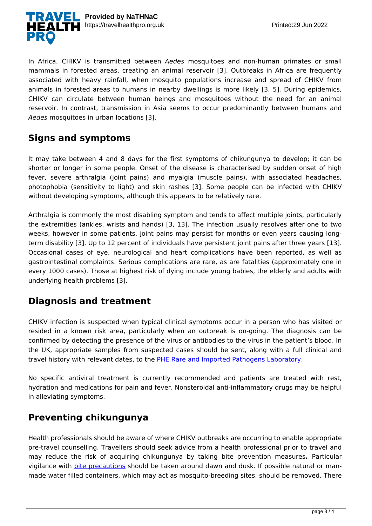

In Africa, CHIKV is transmitted between *Aedes* mosquitoes and non-human primates or small mammals in forested areas, creating an animal reservoir [3]. Outbreaks in Africa are frequently associated with heavy rainfall, when mosquito populations increase and spread of CHIKV from animals in forested areas to humans in nearby dwellings is more likely [3, 5]. During epidemics, CHIKV can circulate between human beings and mosquitoes without the need for an animal reservoir. In contrast, transmission in Asia seems to occur predominantly between humans and *Aedes* mosquitoes in urban locations [3].

### **Signs and symptoms**

It may take between 4 and 8 days for the first symptoms of chikungunya to develop; it can be shorter or longer in some people. Onset of the disease is characterised by sudden onset of high fever, severe arthralgia (joint pains) and myalgia (muscle pains), with associated headaches, photophobia (sensitivity to light) and skin rashes [3]. Some people can be infected with CHIKV without developing symptoms, although this appears to be relatively rare.

Arthralgia is commonly the most disabling symptom and tends to affect multiple joints, particularly the extremities (ankles, wrists and hands) [3, 13]. The infection usually resolves after one to two weeks, however in some patients, joint pains may persist for months or even years causing longterm disability [3]. Up to 12 percent of individuals have persistent joint pains after three years [13]. Occasional cases of eye, neurological and heart complications have been reported, as well as gastrointestinal complaints. Serious complications are rare, as are fatalities (approximately one in every 1000 cases). Those at highest risk of dying include young babies, the elderly and adults with underlying health problems [3].

### **Diagnosis and treatment**

CHIKV infection is suspected when typical clinical symptoms occur in a person who has visited or resided in a known risk area, particularly when an outbreak is on-going. The diagnosis can be confirmed by detecting the presence of the virus or antibodies to the virus in the patient's blood. In the UK, appropriate samples from suspected cases should be sent, along with a full clinical and travel history with relevant dates, to the [PHE Rare and Imported Pathogens Laboratory.](https://www.gov.uk/government/collections/rare-and-imported-pathogens-laboratory-ripl)

No specific antiviral treatment is currently recommended and patients are treated with rest, hydration and medications for pain and fever. Nonsteroidal anti-inflammatory drugs may be helpful in alleviating symptoms.

### **Preventing chikungunya**

Health professionals should be aware of where CHIKV outbreaks are occurring to enable appropriate pre-travel counselling. Travellers should seek advice from a health professional prior to travel and may reduce the risk of acquiring chikungunya by taking bite prevention measures**.** Particular vigilance with **[bite precautions](https://travelhealthpro.org.uk/factsheet/38/insect-and-tick-bite-avoidance)** should be taken around dawn and dusk. If possible natural or manmade water filled containers, which may act as mosquito-breeding sites, should be removed. There